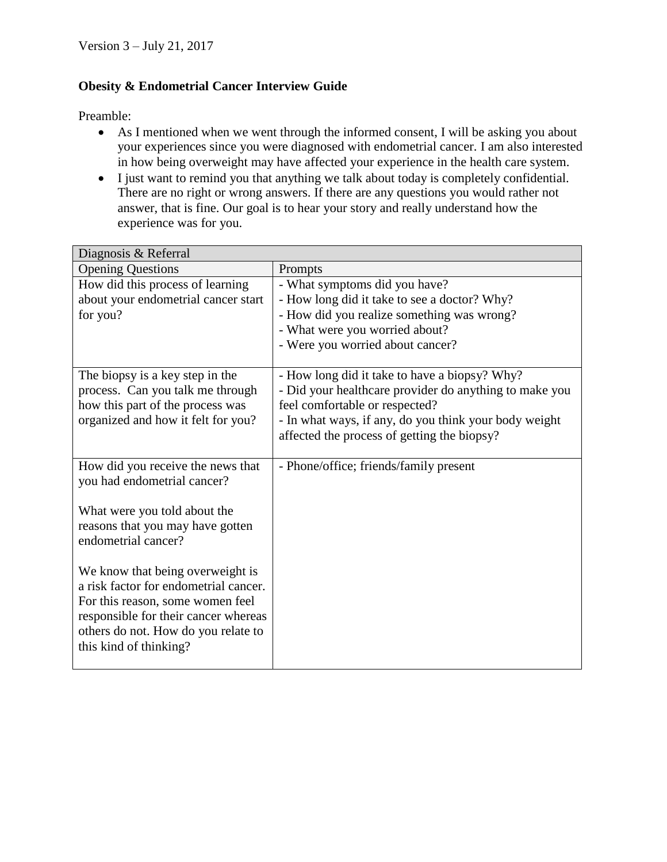## **Obesity & Endometrial Cancer Interview Guide**

Preamble:

- As I mentioned when we went through the informed consent, I will be asking you about your experiences since you were diagnosed with endometrial cancer. I am also interested in how being overweight may have affected your experience in the health care system.
- I just want to remind you that anything we talk about today is completely confidential. There are no right or wrong answers. If there are any questions you would rather not answer, that is fine. Our goal is to hear your story and really understand how the experience was for you.

| Diagnosis & Referral                                    |                                                        |
|---------------------------------------------------------|--------------------------------------------------------|
| <b>Opening Questions</b>                                | Prompts                                                |
| How did this process of learning                        | - What symptoms did you have?                          |
| about your endometrial cancer start                     | - How long did it take to see a doctor? Why?           |
| for you?                                                | - How did you realize something was wrong?             |
|                                                         | - What were you worried about?                         |
|                                                         | - Were you worried about cancer?                       |
| The biopsy is a key step in the                         | - How long did it take to have a biopsy? Why?          |
| process. Can you talk me through                        | - Did your healthcare provider do anything to make you |
| how this part of the process was                        | feel comfortable or respected?                         |
| organized and how it felt for you?                      | - In what ways, if any, do you think your body weight  |
|                                                         | affected the process of getting the biopsy?            |
|                                                         |                                                        |
| How did you receive the news that                       | - Phone/office; friends/family present                 |
| you had endometrial cancer?                             |                                                        |
|                                                         |                                                        |
| What were you told about the                            |                                                        |
| reasons that you may have gotten<br>endometrial cancer? |                                                        |
|                                                         |                                                        |
| We know that being overweight is                        |                                                        |
| a risk factor for endometrial cancer.                   |                                                        |
| For this reason, some women feel                        |                                                        |
| responsible for their cancer whereas                    |                                                        |
| others do not. How do you relate to                     |                                                        |
| this kind of thinking?                                  |                                                        |
|                                                         |                                                        |